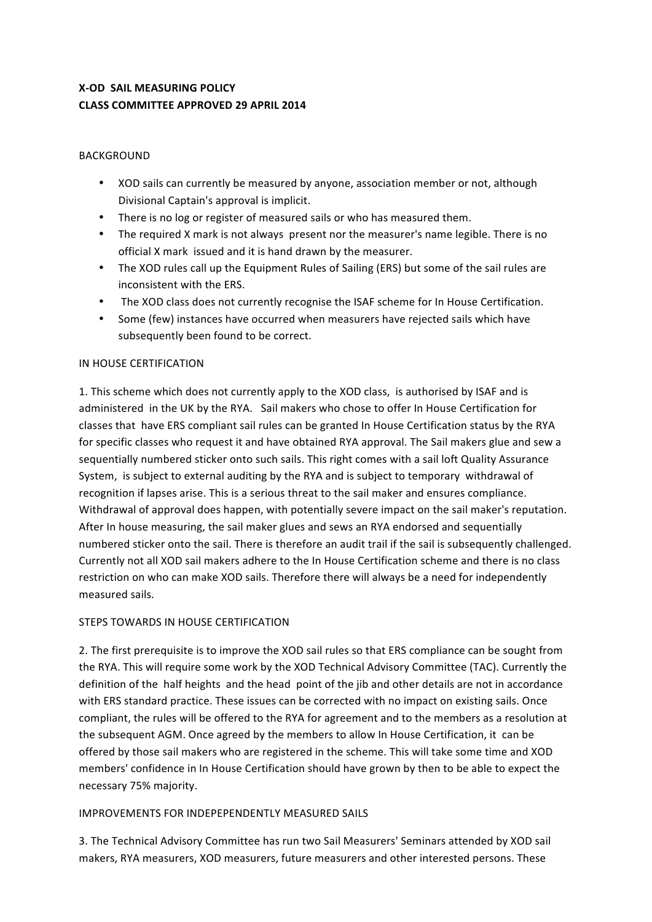# **X-OD SAIL MEASURING POLICY CLASS COMMITTEE APPROVED 29 APRIL 2014**

### BACKGROUND

- XOD sails can currently be measured by anyone, association member or not, although Divisional Captain's approval is implicit.
- There is no log or register of measured sails or who has measured them.
- The required X mark is not always present nor the measurer's name legible. There is no official X mark issued and it is hand drawn by the measurer.
- The XOD rules call up the Equipment Rules of Sailing (ERS) but some of the sail rules are inconsistent with the ERS.
- The XOD class does not currently recognise the ISAF scheme for In House Certification.
- Some (few) instances have occurred when measurers have rejected sails which have subsequently been found to be correct.

## IN HOUSE CERTIFICATION

1. This scheme which does not currently apply to the XOD class, is authorised by ISAF and is administered in the UK by the RYA. Sail makers who chose to offer In House Certification for classes that have ERS compliant sail rules can be granted In House Certification status by the RYA for specific classes who request it and have obtained RYA approval. The Sail makers glue and sew a sequentially numbered sticker onto such sails. This right comes with a sail loft Quality Assurance System, is subject to external auditing by the RYA and is subject to temporary withdrawal of recognition if lapses arise. This is a serious threat to the sail maker and ensures compliance. Withdrawal of approval does happen, with potentially severe impact on the sail maker's reputation. After In house measuring, the sail maker glues and sews an RYA endorsed and sequentially numbered sticker onto the sail. There is therefore an audit trail if the sail is subsequently challenged. Currently not all XOD sail makers adhere to the In House Certification scheme and there is no class restriction on who can make XOD sails. Therefore there will always be a need for independently measured sails.

# STEPS TOWARDS IN HOUSE CERTIFICATION

2. The first prerequisite is to improve the XOD sail rules so that ERS compliance can be sought from the RYA. This will require some work by the XOD Technical Advisory Committee (TAC). Currently the definition of the half heights and the head point of the jib and other details are not in accordance with ERS standard practice. These issues can be corrected with no impact on existing sails. Once compliant, the rules will be offered to the RYA for agreement and to the members as a resolution at the subsequent AGM. Once agreed by the members to allow In House Certification, it can be offered by those sail makers who are registered in the scheme. This will take some time and XOD members' confidence in In House Certification should have grown by then to be able to expect the necessary 75% majority.

#### IMPROVEMENTS FOR INDEPEPENDENTLY MEASURED SAILS

3. The Technical Advisory Committee has run two Sail Measurers' Seminars attended by XOD sail makers, RYA measurers, XOD measurers, future measurers and other interested persons. These